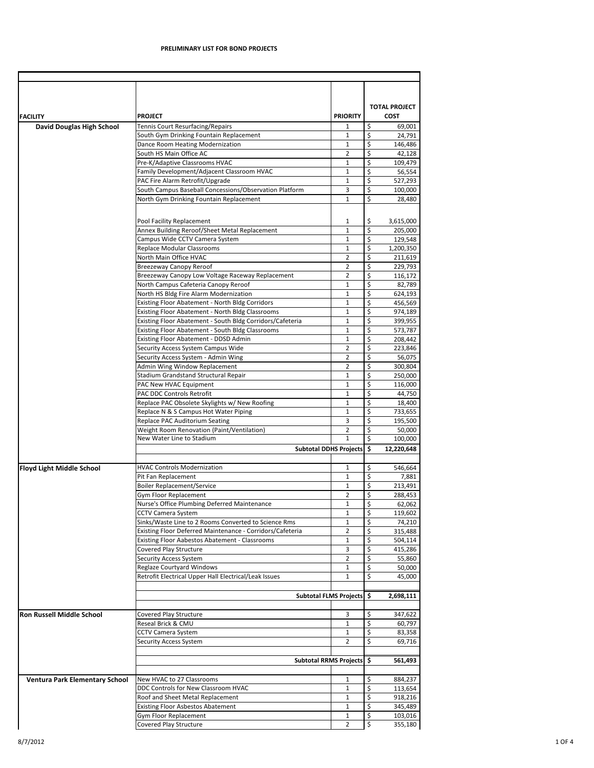|                                       |                                                                                                            |                               |              | <b>TOTAL PROJECT</b> |
|---------------------------------------|------------------------------------------------------------------------------------------------------------|-------------------------------|--------------|----------------------|
| <b>FACILITY</b>                       | <b>PROJECT</b>                                                                                             | <b>PRIORITY</b>               |              | <b>COST</b>          |
| <b>David Douglas High School</b>      | Tennis Court Resurfacing/Repairs                                                                           | 1                             | \$           | 69,001               |
|                                       | South Gym Drinking Fountain Replacement                                                                    | 1                             | \$           | 24,791               |
|                                       | Dance Room Heating Modernization                                                                           | 1                             | \$           | 146,486              |
|                                       | South HS Main Office AC                                                                                    | $\overline{2}$                | \$<br>\$     | 42,128               |
|                                       | Pre-K/Adaptive Classrooms HVAC<br>Family Development/Adjacent Classroom HVAC                               | 1<br>1                        | \$           | 109,479<br>56,554    |
|                                       | PAC Fire Alarm Retrofit/Upgrade                                                                            | 1                             | \$           | 527,293              |
|                                       | South Campus Baseball Concessions/Observation Platform                                                     | 3                             | \$           | 100,000              |
|                                       | North Gym Drinking Fountain Replacement                                                                    | $\mathbf 1$                   | \$           | 28,480               |
|                                       |                                                                                                            |                               |              |                      |
|                                       | Pool Facility Replacement<br>Annex Building Reroof/Sheet Metal Replacement                                 | 1<br>$\mathbf 1$              | \$<br>\$     | 3,615,000<br>205,000 |
|                                       | Campus Wide CCTV Camera System                                                                             | 1                             | \$           | 129,548              |
|                                       | <b>Replace Modular Classrooms</b>                                                                          | 1                             | \$           | 1,200,350            |
|                                       | North Main Office HVAC                                                                                     | $\overline{2}$                | \$           | 211,619              |
|                                       | <b>Breezeway Canopy Reroof</b>                                                                             | $\overline{2}$                | \$           | 229,793              |
|                                       | Breezeway Canopy Low Voltage Raceway Replacement                                                           | 2                             | \$           | 116,172              |
|                                       | North Campus Cafeteria Canopy Reroof                                                                       | 1                             | \$           | 82,789               |
|                                       | North HS Bldg Fire Alarm Modernization                                                                     | 1                             | \$<br>\$     | 624,193              |
|                                       | <b>Existing Floor Abatement - North Bldg Corridors</b><br>Existing Floor Abatement - North Bldg Classrooms | 1<br>1                        | \$           | 456,569<br>974,189   |
|                                       | Existing Floor Abatement - South Bldg Corridors/Cafeteria                                                  | 1                             | \$           | 399,955              |
|                                       | Existing Floor Abatement - South Bldg Classrooms                                                           | 1                             | \$           | 573,787              |
|                                       | <b>Existing Floor Abatement - DDSD Admin</b>                                                               | 1                             | \$           | 208,442              |
|                                       | <b>Security Access System Campus Wide</b>                                                                  | $\overline{2}$                | \$           | 223,846              |
|                                       | Security Access System - Admin Wing                                                                        | $\overline{2}$                | \$           | 56,075               |
|                                       | Admin Wing Window Replacement                                                                              | 2                             | \$           | 300,804              |
|                                       | <b>Stadium Grandstand Structural Repair</b><br>PAC New HVAC Equipment                                      | 1<br>1                        | \$<br>\$     | 250,000<br>116,000   |
|                                       | <b>PAC DDC Controls Retrofit</b>                                                                           | 1                             | \$           | 44,750               |
|                                       | Replace PAC Obsolete Skylights w/ New Roofing                                                              | $\mathbf 1$                   | \$           | 18,400               |
|                                       | Replace N & S Campus Hot Water Piping                                                                      | 1                             | \$           | 733,655              |
|                                       | Replace PAC Auditorium Seating                                                                             | 3                             | \$           | 195,500              |
|                                       | Weight Room Renovation (Paint/Ventilation)                                                                 | 2                             | \$           | 50,000               |
|                                       | New Water Line to Stadium                                                                                  | 1                             | \$           | 100,000              |
|                                       |                                                                                                            | <b>Subtotal DDHS Projects</b> | $\mathsf{S}$ | 12,220,648           |
| <b>Floyd Light Middle School</b>      | <b>HVAC Controls Modernization</b>                                                                         | 1                             | \$           | 546,664              |
|                                       | Pit Fan Replacement                                                                                        | 1                             | \$           | 7,881                |
|                                       | <b>Boiler Replacement/Service</b>                                                                          | 1                             | \$           | 213,491              |
|                                       | <b>Gym Floor Replacement</b><br>Nurse's Office Plumbing Deferred Maintenance                               | 2<br>$\mathbf 1$              | \$<br>\$     | 288,453<br>62,062    |
|                                       | <b>CCTV Camera System</b>                                                                                  | 1                             | \$           | 119,602              |
|                                       | Sinks/Waste Line to 2 Rooms Converted to Science Rms                                                       | 1                             | \$           | 74,210               |
|                                       | Existing Floor Deferred Maintenance - Corridors/Cafeteria                                                  | 2                             | \$           | 315,488              |
|                                       | <b>Existing Floor Aabestos Abatement - Classrooms</b>                                                      | $\mathbf 1$                   | \$           | 504,114              |
|                                       | Covered Play Structure                                                                                     | 3                             | \$           | 415,286              |
|                                       | <b>Security Access System</b>                                                                              | 2                             | \$           | 55,860               |
|                                       | <b>Reglaze Courtyard Windows</b><br>Retrofit Electrical Upper Hall Electrical/Leak Issues                  | 1<br>$\mathbf{1}$             | \$<br>\$     | 50,000<br>45,000     |
|                                       |                                                                                                            |                               |              |                      |
|                                       |                                                                                                            | Subtotal FLMS Projects \$     |              | 2,698,111            |
| <b>Ron Russell Middle School</b>      | Covered Play Structure                                                                                     | 3                             | \$           | 347,622              |
|                                       | Reseal Brick & CMU                                                                                         | 1                             | \$           | 60,797               |
|                                       | <b>CCTV Camera System</b>                                                                                  | $\mathbf{1}$                  | \$           | 83,358               |
|                                       | <b>Security Access System</b>                                                                              | $\overline{2}$                | \$           | 69,716               |
|                                       |                                                                                                            | <b>Subtotal RRMS Projects</b> | <b>S</b>     | 561,493              |
|                                       | New HVAC to 27 Classrooms                                                                                  | $\mathbf{1}$                  | \$           | 884,237              |
| <b>Ventura Park Elementary School</b> | DDC Controls for New Classroom HVAC                                                                        | 1                             | \$           | 113,654              |
|                                       | Roof and Sheet Metal Replacement                                                                           | 1                             | \$           | 918,216              |
|                                       | Existing Floor Asbestos Abatement                                                                          | $\mathbf 1$                   | \$           | 345,489              |
|                                       | Gym Floor Replacement                                                                                      | $\mathbf 1$                   | \$           | 103,016              |
|                                       | Covered Play Structure                                                                                     | 2                             | \$           | 355,180              |

## **PRELIMINARY LIST FOR BOND PROJECTS**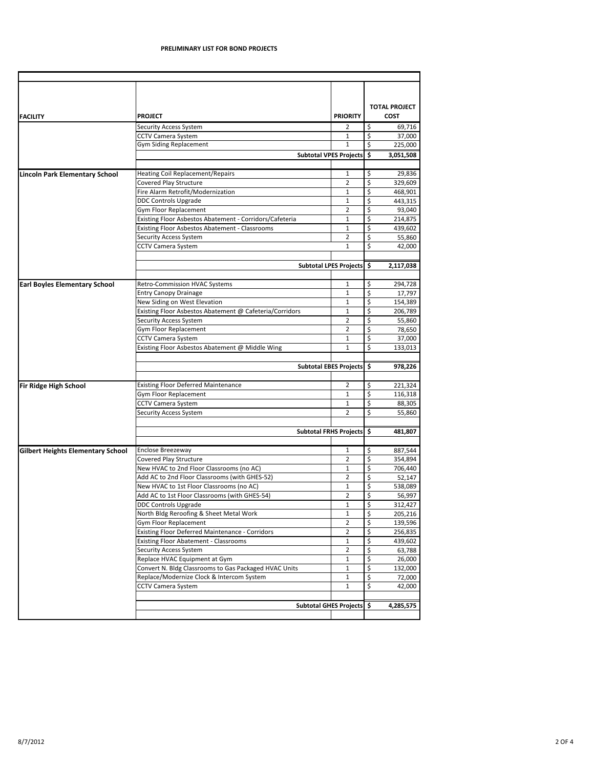## **PRELIMINARY LIST FOR BOND PROJECTS**

|                                          |                                                                          |                           |          | <b>TOTAL PROJECT</b> |
|------------------------------------------|--------------------------------------------------------------------------|---------------------------|----------|----------------------|
| <b>FACILITY</b>                          | <b>PROJECT</b>                                                           | <b>PRIORITY</b>           |          | <b>COST</b>          |
|                                          | <b>Security Access System</b>                                            | $\overline{2}$            | \$       | 69,716               |
|                                          | <b>CCTV Camera System</b>                                                | 1                         | \$       | 37,000               |
|                                          | <b>Gym Siding Replacement</b>                                            | 1                         | \$       | 225,000              |
|                                          |                                                                          | Subtotal VPES Projects \$ |          | 3,051,508            |
|                                          |                                                                          |                           |          |                      |
| <b>Lincoln Park Elementary School</b>    | <b>Heating Coil Replacement/Repairs</b><br><b>Covered Play Structure</b> | 1<br>$\overline{2}$       | \$<br>\$ | 29,836               |
|                                          | Fire Alarm Retrofit/Modernization                                        | 1                         | \$       | 329,609              |
|                                          |                                                                          |                           | \$       | 468,901              |
|                                          | <b>DDC Controls Upgrade</b>                                              | $\mathbf{1}$              |          | 443,315              |
|                                          | Gym Floor Replacement                                                    | $\overline{2}$            | \$       | 93,040               |
|                                          | Existing Floor Asbestos Abatement - Corridors/Cafeteria                  | 1                         | \$       | 214,875              |
|                                          | Existing Floor Asbestos Abatement - Classrooms                           | $\mathbf{1}$              | \$       | 439,602              |
|                                          | <b>Security Access System</b>                                            | $\overline{2}$            | \$       | 55,860               |
|                                          | <b>CCTV Camera System</b>                                                | $\mathbf 1$               | \$       | 42,000               |
|                                          |                                                                          | Subtotal LPES Projects \$ |          | 2,117,038            |
|                                          |                                                                          |                           |          |                      |
| <b>Earl Boyles Elementary School</b>     | <b>Retro-Commission HVAC Systems</b>                                     | 1                         | \$       | 294,728              |
|                                          | <b>Entry Canopy Drainage</b>                                             | 1                         | \$       | 17,797               |
|                                          | New Siding on West Elevation                                             | 1                         | \$       | 154,389              |
|                                          | Existing Floor Asbestos Abatement @ Cafeteria/Corridors                  | $\mathbf{1}$              | \$       | 206,789              |
|                                          | <b>Security Access System</b>                                            | $\overline{2}$            | \$       | 55,860               |
|                                          | Gym Floor Replacement                                                    | $\overline{2}$            | \$       | 78,650               |
|                                          | <b>CCTV Camera System</b>                                                | $\mathbf 1$               | \$       | 37,000               |
|                                          | Existing Floor Asbestos Abatement @ Middle Wing                          | 1                         | \$       | 133,013              |
|                                          |                                                                          |                           |          |                      |
|                                          |                                                                          | Subtotal EBES Projects \$ |          | 978,226              |
| <b>Fir Ridge High School</b>             | <b>Existing Floor Deferred Maintenance</b>                               | 2                         | \$       | 221,324              |
|                                          | Gym Floor Replacement                                                    | $\mathbf{1}$              | \$       | 116,318              |
|                                          | <b>CCTV Camera System</b>                                                | 1                         | \$       | 88,305               |
|                                          | <b>Security Access System</b>                                            | $\overline{2}$            | \$       | 55,860               |
|                                          |                                                                          |                           |          |                      |
|                                          |                                                                          | Subtotal FRHS Projects \$ |          | 481,807              |
| <b>Gilbert Heights Elementary School</b> | <b>Enclose Breezeway</b>                                                 | 1                         | \$       | 887,544              |
|                                          | <b>Covered Play Structure</b>                                            | $\overline{2}$            | \$       | 354,894              |
|                                          | New HVAC to 2nd Floor Classrooms (no AC)                                 | 1                         | \$       | 706,440              |
|                                          | Add AC to 2nd Floor Classrooms (with GHES-52)                            | $\overline{2}$            | \$       | 52,147               |
|                                          | New HVAC to 1st Floor Classrooms (no AC)                                 | $\mathbf{1}$              | \$       | 538,089              |
|                                          | Add AC to 1st Floor Classrooms (with GHES-54)                            | $\overline{2}$            | \$       | 56,997               |
|                                          | <b>DDC Controls Upgrade</b>                                              | 1                         | \$       | 312,427              |
|                                          | North Bldg Reroofing & Sheet Metal Work                                  | 1                         | \$       | 205,216              |
|                                          | Gym Floor Replacement                                                    | $\overline{2}$            | \$       | 139,596              |
|                                          | <b>Existing Floor Deferred Maintenance - Corridors</b>                   | $\overline{2}$            | \$       | 256,835              |
|                                          | <b>Existing Floor Abatement - Classrooms</b>                             | $\mathbf{1}$              | \$       |                      |
|                                          | <b>Security Access System</b>                                            | $\overline{2}$            | \$       | 439,602<br>63,788    |
|                                          | Replace HVAC Equipment at Gym                                            | 1                         | \$       | 26,000               |
|                                          | Convert N. Bldg Classrooms to Gas Packaged HVAC Units                    | $\mathbf{1}$              | \$       |                      |
|                                          |                                                                          |                           |          | 132,000              |
|                                          | Replace/Modernize Clock & Intercom System<br><b>CCTV Camera System</b>   | 1<br>$\mathbf{1}$         | \$<br>\$ | 72,000<br>42,000     |
|                                          |                                                                          |                           |          |                      |
|                                          |                                                                          | Subtotal GHES Projects \$ |          | 4,285,575            |
|                                          |                                                                          |                           |          |                      |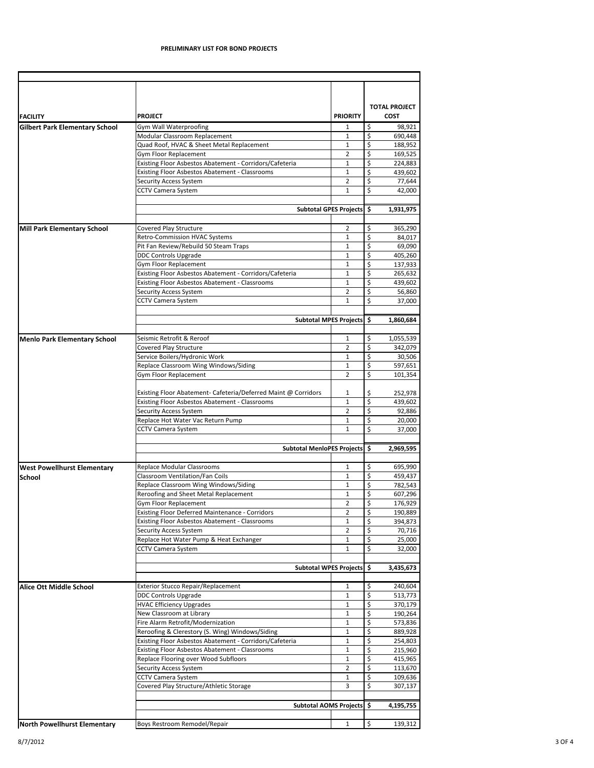| <b>Gilbert Park Elementary School</b> |                                                                                 | <b>PRIORITY</b>                |                          | <b>TOTAL PROJECT</b><br><b>COST</b> |
|---------------------------------------|---------------------------------------------------------------------------------|--------------------------------|--------------------------|-------------------------------------|
|                                       | Gym Wall Waterproofing                                                          | 1                              | \$                       | 98,921                              |
|                                       | Modular Classroom Replacement                                                   | $\mathbf{1}$                   | \$                       | 690,448                             |
|                                       | Quad Roof, HVAC & Sheet Metal Replacement                                       | $\mathbf{1}$                   | $\overline{\xi}$         | 188,952                             |
|                                       | <b>Gym Floor Replacement</b>                                                    | $\overline{2}$                 | \$                       | 169,525                             |
|                                       | Existing Floor Asbestos Abatement - Corridors/Cafeteria                         | $\mathbf{1}$                   | \$<br>\$                 | 224,883                             |
|                                       | Existing Floor Asbestos Abatement - Classrooms<br><b>Security Access System</b> | 1<br>$\overline{2}$            | \$                       | 439,602<br>77,644                   |
|                                       | <b>CCTV Camera System</b>                                                       | $\mathbf{1}$                   | \$                       | 42,000                              |
|                                       |                                                                                 |                                |                          |                                     |
|                                       |                                                                                 | <b>Subtotal GPES Projects</b>  | $\ddot{\bm{\zeta}}$      | 1,931,975                           |
| <b>Mill Park Elementary School</b>    | Covered Play Structure                                                          | $\overline{2}$                 | \$                       | 365,290                             |
|                                       | <b>Retro-Commission HVAC Systems</b>                                            | 1                              | \$                       | 84,017                              |
|                                       | Pit Fan Review/Rebuild 50 Steam Traps                                           | $\mathbf{1}$                   | \$                       | 69,090                              |
|                                       | <b>DDC Controls Upgrade</b>                                                     | 1                              | \$                       | 405,260                             |
|                                       | Gym Floor Replacement                                                           | $\mathbf{1}$                   | \$                       | 137,933                             |
|                                       | Existing Floor Asbestos Abatement - Corridors/Cafeteria                         | $\mathbf{1}$                   | \$                       | 265,632                             |
|                                       | Existing Floor Asbestos Abatement - Classrooms                                  | 1                              | \$                       | 439,602                             |
|                                       | <b>Security Access System</b>                                                   | $\overline{2}$                 | \$                       | 56,860                              |
|                                       | <b>CCTV Camera System</b>                                                       | 1                              | \$                       | 37,000                              |
|                                       |                                                                                 | <b>Subtotal MPES Projects</b>  | \$                       | 1,860,684                           |
|                                       |                                                                                 |                                |                          |                                     |
| <b>Menlo Park Elementary School</b>   | Seismic Retrofit & Reroof                                                       | 1                              | \$                       | 1,055,539                           |
|                                       | Covered Play Structure                                                          | $\overline{2}$                 | \$                       | 342,079                             |
|                                       | Service Boilers/Hydronic Work                                                   | 1                              | $\overline{\mathcal{S}}$ | 30,506                              |
|                                       | Replace Classroom Wing Windows/Siding<br>Gym Floor Replacement                  | $\mathbf{1}$<br>$\overline{2}$ | \$<br>\$                 | 597,651<br>101,354                  |
|                                       | Existing Floor Abatement- Cafeteria/Deferred Maint @ Corridors                  |                                | \$                       |                                     |
|                                       | Existing Floor Asbestos Abatement - Classrooms                                  | 1<br>$\mathbf{1}$              | \$                       | 252,978<br>439,602                  |
|                                       | <b>Security Access System</b>                                                   | $\overline{2}$                 | \$                       |                                     |
|                                       | Replace Hot Water Vac Return Pump                                               | $\mathbf{1}$                   | \$                       | 92,886<br>20,000                    |
|                                       | <b>CCTV Camera System</b>                                                       | $\mathbf{1}$                   | \$                       | 37,000                              |
|                                       | <b>Subtotal MenloPES Projects</b>                                               |                                | \$                       | 2,969,595                           |
| <b>West Powellhurst Elementary</b>    | <b>Replace Modular Classrooms</b>                                               | 1                              | \$                       | 695,990                             |
| <b>School</b>                         | Classroom Ventilation/Fan Coils                                                 | $\mathbf{1}$                   | \$                       | 459,437                             |
|                                       | Replace Classroom Wing Windows/Siding                                           | $\mathbf{1}$                   | \$                       | 782,543                             |
|                                       | Reroofing and Sheet Metal Replacement                                           | 1                              | \$                       | 607,296                             |
|                                       | Gym Floor Replacement                                                           | $\overline{2}$                 | \$                       | 176,929                             |
|                                       | <b>Existing Floor Deferred Maintenance - Corridors</b>                          | $\overline{2}$                 | \$                       | 190,889                             |
|                                       | <b>Existing Floor Asbestos Abatement - Classrooms</b>                           | $\mathbf{1}$                   | \$                       | 394,873                             |
|                                       | <b>Security Access System</b>                                                   | $\overline{2}$                 | \$                       | 70,716                              |
|                                       | Replace Hot Water Pump & Heat Exchanger                                         | 1                              | \$                       | 25,000                              |
|                                       | <b>CCTV Camera System</b>                                                       | $\mathbf{1}$                   | \$                       | 32,000                              |
|                                       | Subtotal WPES Projects \$                                                       |                                |                          | 3,435,673                           |
| <b>Alice Ott Middle School</b>        | <b>Exterior Stucco Repair/Replacement</b>                                       | $\mathbf{1}$                   | \$                       | 240,604                             |
|                                       | <b>DDC Controls Upgrade</b>                                                     | $\mathbf{1}$                   | \$                       | 513,773                             |
|                                       | <b>HVAC Efficiency Upgrades</b>                                                 | $\mathbf{1}$                   | \$                       | 370,179                             |
|                                       | New Classroom at Library                                                        | $\mathbf{1}$                   | \$                       | 190,264                             |
|                                       | Fire Alarm Retrofit/Modernization                                               | 1                              | \$                       | 573,836                             |
|                                       | Reroofing & Clerestory (S. Wing) Windows/Siding                                 | $\mathbf{1}$                   | \$                       | 889,928                             |
|                                       | Existing Floor Asbestos Abatement - Corridors/Cafeteria                         |                                |                          | 254,803                             |
|                                       | Existing Floor Asbestos Abatement - Classrooms                                  | 1<br>$\mathbf{1}$              | $\ddot{ }$<br>\$         | 215,960                             |
|                                       | Replace Flooring over Wood Subfloors                                            | $\mathbf{1}$                   | \$                       |                                     |
|                                       |                                                                                 |                                | \$                       | 415,965                             |
|                                       | <b>Security Access System</b>                                                   | 2                              |                          | 113,670                             |
|                                       | <b>CCTV Camera System</b><br>Covered Play Structure/Athletic Storage            | 1<br>3                         | \$<br>\$                 | 109,636<br>307,137                  |
|                                       |                                                                                 |                                |                          |                                     |
|                                       | Subtotal AOMS Projects \$                                                       |                                |                          | 4,195,755                           |
| <b>North Powellhurst Elementary</b>   | Boys Restroom Remodel/Repair                                                    | $\mathbf{1}$                   | \$                       | 139,312                             |